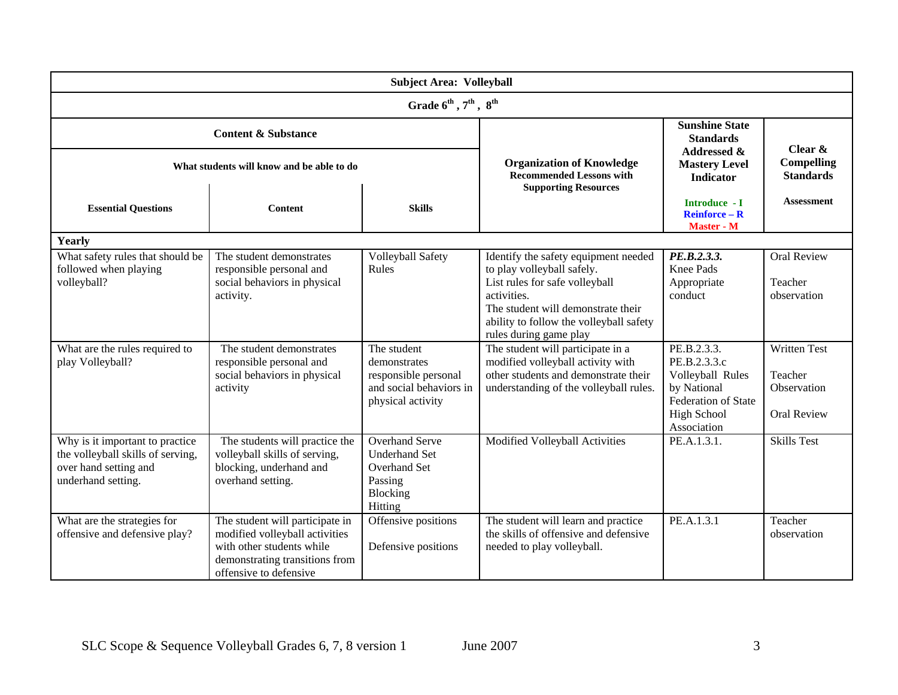| <b>Subject Area: Volleyball</b>                                                                                     |                                                                                                                                                            |                                                                                                        |                                                                                                                                                                                                                                |                                                                                                                                   |                                                                     |  |  |  |  |
|---------------------------------------------------------------------------------------------------------------------|------------------------------------------------------------------------------------------------------------------------------------------------------------|--------------------------------------------------------------------------------------------------------|--------------------------------------------------------------------------------------------------------------------------------------------------------------------------------------------------------------------------------|-----------------------------------------------------------------------------------------------------------------------------------|---------------------------------------------------------------------|--|--|--|--|
| Grade $6^{th}$ , $7^{th}$ , $8^{th}$                                                                                |                                                                                                                                                            |                                                                                                        |                                                                                                                                                                                                                                |                                                                                                                                   |                                                                     |  |  |  |  |
| <b>Content &amp; Substance</b>                                                                                      |                                                                                                                                                            |                                                                                                        | <b>Organization of Knowledge</b><br><b>Recommended Lessons with</b><br><b>Supporting Resources</b>                                                                                                                             | <b>Sunshine State</b><br><b>Standards</b><br><b>Addressed &amp;</b><br><b>Mastery Level</b><br>Indicator                          | Clear $\&$<br>Compelling<br><b>Standards</b>                        |  |  |  |  |
| What students will know and be able to do                                                                           |                                                                                                                                                            |                                                                                                        |                                                                                                                                                                                                                                |                                                                                                                                   |                                                                     |  |  |  |  |
| <b>Essential Questions</b>                                                                                          | <b>Content</b>                                                                                                                                             | <b>Skills</b>                                                                                          |                                                                                                                                                                                                                                | Introduce - I<br>$Reinforce - R$<br>Master - M                                                                                    | <b>Assessment</b>                                                   |  |  |  |  |
| Yearly                                                                                                              |                                                                                                                                                            |                                                                                                        |                                                                                                                                                                                                                                |                                                                                                                                   |                                                                     |  |  |  |  |
| What safety rules that should be<br>followed when playing<br>volleyball?                                            | The student demonstrates<br>responsible personal and<br>social behaviors in physical<br>activity.                                                          | <b>Volleyball Safety</b><br>Rules                                                                      | Identify the safety equipment needed<br>to play volleyball safely.<br>List rules for safe volleyball<br>activities.<br>The student will demonstrate their<br>ability to follow the volleyball safety<br>rules during game play | PE.B.2.3.3.<br>Knee Pads<br>Appropriate<br>conduct                                                                                | <b>Oral Review</b><br>Teacher<br>observation                        |  |  |  |  |
| What are the rules required to<br>play Volleyball?                                                                  | The student demonstrates<br>responsible personal and<br>social behaviors in physical<br>activity                                                           | The student<br>demonstrates<br>responsible personal<br>and social behaviors in<br>physical activity    | The student will participate in a<br>modified volleyball activity with<br>other students and demonstrate their<br>understanding of the volleyball rules.                                                                       | PE.B.2.3.3.<br>PE.B.2.3.3.c<br>Volleyball Rules<br>by National<br><b>Federation of State</b><br><b>High School</b><br>Association | <b>Written Test</b><br>Teacher<br>Observation<br><b>Oral Review</b> |  |  |  |  |
| Why is it important to practice<br>the volleyball skills of serving,<br>over hand setting and<br>underhand setting. | The students will practice the<br>volleyball skills of serving,<br>blocking, underhand and<br>overhand setting.                                            | <b>Overhand Serve</b><br><b>Underhand Set</b><br><b>Overhand Set</b><br>Passing<br>Blocking<br>Hitting | Modified Volleyball Activities                                                                                                                                                                                                 | PE.A.1.3.1.                                                                                                                       | <b>Skills Test</b>                                                  |  |  |  |  |
| What are the strategies for<br>offensive and defensive play?                                                        | The student will participate in<br>modified volleyball activities<br>with other students while<br>demonstrating transitions from<br>offensive to defensive | Offensive positions<br>Defensive positions                                                             | The student will learn and practice<br>the skills of offensive and defensive<br>needed to play volleyball.                                                                                                                     | PE.A.1.3.1                                                                                                                        | Teacher<br>observation                                              |  |  |  |  |